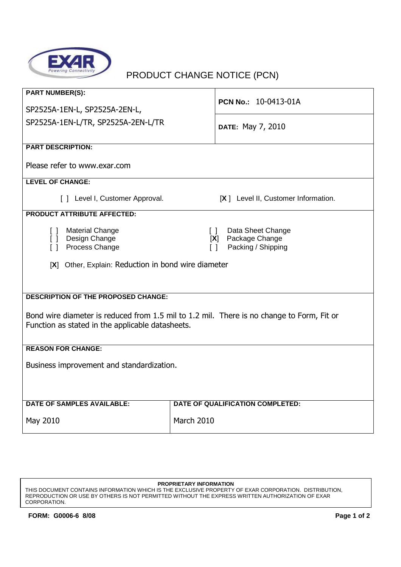

## PRODUCT CHANGE NOTICE (PCN)

| <b>PART NUMBER(S):</b><br>SP2525A-1EN-L, SP2525A-2EN-L,<br>SP2525A-1EN-L/TR, SP2525A-2EN-L/TR                                                                                                                       | <b>PCN No.: 10-0413-01A</b>          |  |
|---------------------------------------------------------------------------------------------------------------------------------------------------------------------------------------------------------------------|--------------------------------------|--|
|                                                                                                                                                                                                                     | DATE: May 7, 2010                    |  |
| <b>PART DESCRIPTION:</b>                                                                                                                                                                                            |                                      |  |
| Please refer to www.exar.com                                                                                                                                                                                        |                                      |  |
| <b>LEVEL OF CHANGE:</b>                                                                                                                                                                                             |                                      |  |
| [ ] Level I, Customer Approval.                                                                                                                                                                                     | [X ] Level II, Customer Information. |  |
| <b>PRODUCT ATTRIBUTE AFFECTED:</b>                                                                                                                                                                                  |                                      |  |
| [ ] Material Change<br>Data Sheet Change<br>$\Box$<br>[ ] Design Change<br>Package Change<br>[X]<br>Process Change<br>Packing / Shipping<br>$\Box$<br>$\Box$<br>[X] Other, Explain: Reduction in bond wire diameter |                                      |  |
| <b>DESCRIPTION OF THE PROPOSED CHANGE:</b>                                                                                                                                                                          |                                      |  |
| Bond wire diameter is reduced from 1.5 mil to 1.2 mil. There is no change to Form, Fit or<br>Function as stated in the applicable datasheets.                                                                       |                                      |  |
| <b>REASON FOR CHANGE:</b>                                                                                                                                                                                           |                                      |  |
| Business improvement and standardization.                                                                                                                                                                           |                                      |  |
| <b>DATE OF SAMPLES AVAILABLE:</b>                                                                                                                                                                                   | DATE OF QUALIFICATION COMPLETED:     |  |
| May 2010                                                                                                                                                                                                            | March 2010                           |  |

## **PROPRIETARY INFORMATION**

THIS DOCUMENT CONTAINS INFORMATION WHICH IS THE EXCLUSIVE PROPERTY OF EXAR CORPORATION. DISTRIBUTION, REPRODUCTION OR USE BY OTHERS IS NOT PERMITTED WITHOUT THE EXPRESS WRITTEN AUTHORIZATION OF EXAR CORPORATION.